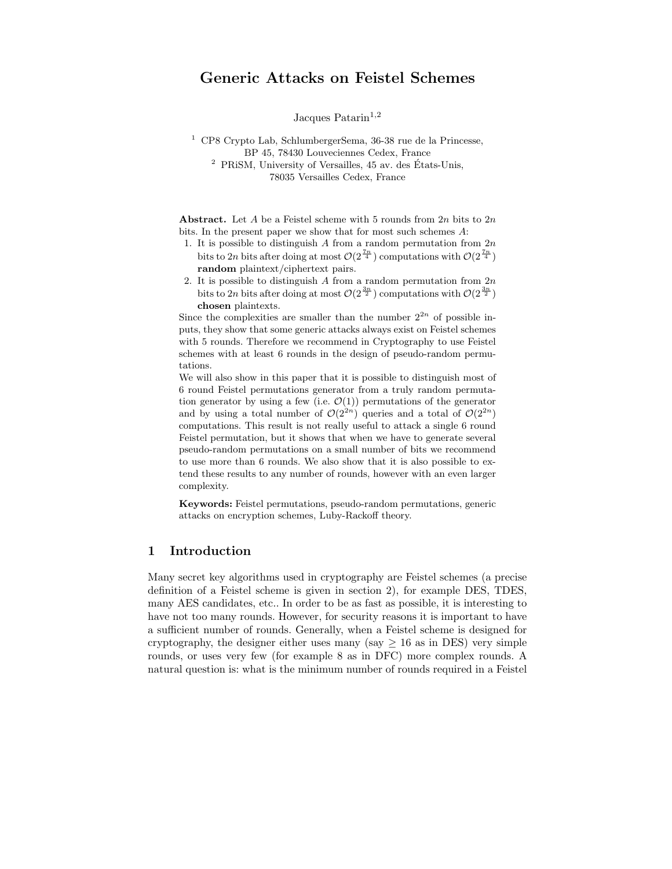# Generic Attacks on Feistel Schemes

Jacques Patarin<sup>1,2</sup>

 $1$  CP8 Crypto Lab, SchlumbergerSema, 36-38 rue de la Princesse, BP 45, 78430 Louveciennes Cedex, France  $2$  PRiSM, University of Versailles, 45 av. des États-Unis,

78035 Versailles Cedex, France

Abstract. Let A be a Feistel scheme with 5 rounds from  $2n$  bits to  $2n$ bits. In the present paper we show that for most such schemes A:

- 1. It is possible to distinguish A from a random permutation from  $2n$ bits to 2n bits after doing at most  $\mathcal{O}(2^{\frac{7n}{4}})$  computations with  $\mathcal{O}(2^{\frac{7n}{4}})$ random plaintext/ciphertext pairs.
- 2. It is possible to distinguish A from a random permutation from  $2n$ bits to 2n bits after doing at most  $\mathcal{O}(2^{\frac{3n}{2}})$  computations with  $\mathcal{O}(2^{\frac{3n}{2}})$ chosen plaintexts.

Since the complexities are smaller than the number  $2^{2n}$  of possible inputs, they show that some generic attacks always exist on Feistel schemes with 5 rounds. Therefore we recommend in Cryptography to use Feistel schemes with at least 6 rounds in the design of pseudo-random permutations.

We will also show in this paper that it is possible to distinguish most of 6 round Feistel permutations generator from a truly random permutation generator by using a few (i.e.  $\mathcal{O}(1)$ ) permutations of the generator and by using a total number of  $\mathcal{O}(2^{2n})$  queries and a total of  $\mathcal{O}(2^{2n})$ computations. This result is not really useful to attack a single 6 round Feistel permutation, but it shows that when we have to generate several pseudo-random permutations on a small number of bits we recommend to use more than 6 rounds. We also show that it is also possible to extend these results to any number of rounds, however with an even larger complexity.

Keywords: Feistel permutations, pseudo-random permutations, generic attacks on encryption schemes, Luby-Rackoff theory.

# 1 Introduction

Many secret key algorithms used in cryptography are Feistel schemes (a precise definition of a Feistel scheme is given in section 2), for example DES, TDES, many AES candidates, etc.. In order to be as fast as possible, it is interesting to have not too many rounds. However, for security reasons it is important to have a sufficient number of rounds. Generally, when a Feistel scheme is designed for cryptography, the designer either uses many (say  $> 16$  as in DES) very simple rounds, or uses very few (for example 8 as in DFC) more complex rounds. A natural question is: what is the minimum number of rounds required in a Feistel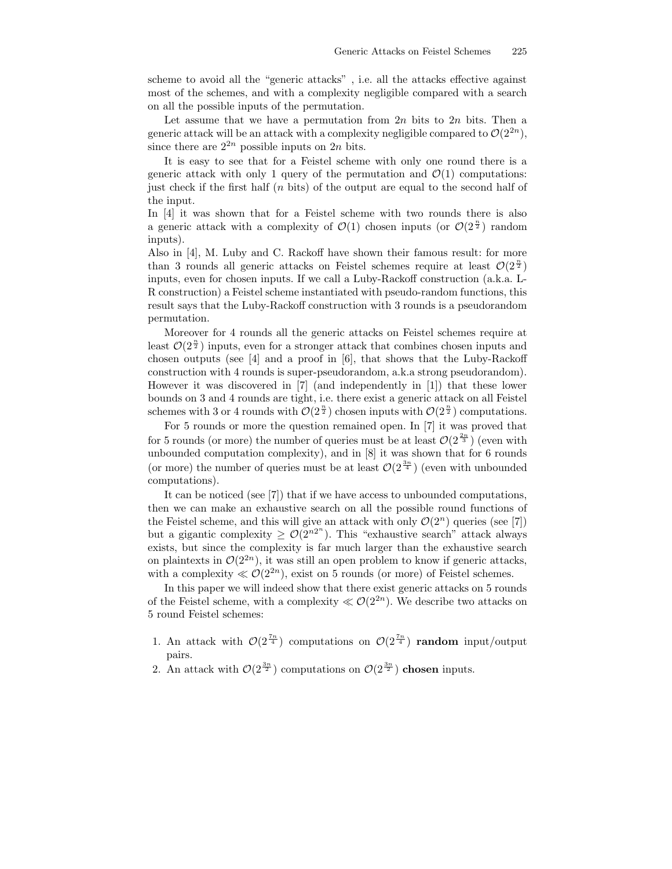scheme to avoid all the "generic attacks" , i.e. all the attacks effective against most of the schemes, and with a complexity negligible compared with a search on all the possible inputs of the permutation.

Let assume that we have a permutation from  $2n$  bits to  $2n$  bits. Then a generic attack will be an attack with a complexity negligible compared to  $\mathcal{O}(2^{2n})$ , since there are  $2^{2n}$  possible inputs on  $2n$  bits.

It is easy to see that for a Feistel scheme with only one round there is a generic attack with only 1 query of the permutation and  $\mathcal{O}(1)$  computations: just check if the first half  $(n \text{ bits})$  of the output are equal to the second half of the input.

In [4] it was shown that for a Feistel scheme with two rounds there is also a generic attack with a complexity of  $\mathcal{O}(1)$  chosen inputs (or  $\mathcal{O}(2^{\frac{n}{2}})$  random inputs).

Also in [4], M. Luby and C. Rackoff have shown their famous result: for more than 3 rounds all generic attacks on Feistel schemes require at least  $\mathcal{O}(2^{\frac{n}{2}})$ inputs, even for chosen inputs. If we call a Luby-Rackoff construction (a.k.a. L-R construction) a Feistel scheme instantiated with pseudo-random functions, this result says that the Luby-Rackoff construction with 3 rounds is a pseudorandom permutation.

Moreover for 4 rounds all the generic attacks on Feistel schemes require at least  $\mathcal{O}(2^{\frac{n}{2}})$  inputs, even for a stronger attack that combines chosen inputs and chosen outputs (see [4] and a proof in  $[6]$ , that shows that the Luby-Rackoff construction with 4 rounds is super-pseudorandom, a.k.a strong pseudorandom). However it was discovered in [7] (and independently in [1]) that these lower bounds on 3 and 4 rounds are tight, i.e. there exist a generic attack on all Feistel schemes with 3 or 4 rounds with  $\mathcal{O}(2^{\frac{n}{2}})$  chosen inputs with  $\mathcal{O}(2^{\frac{n}{2}})$  computations.

For 5 rounds or more the question remained open. In [7] it was proved that for 5 rounds (or more) the number of queries must be at least  $\mathcal{O}(2^{\frac{2n}{3}})$  (even with unbounded computation complexity), and in [8] it was shown that for 6 rounds (or more) the number of queries must be at least  $\mathcal{O}(2^{\frac{3n}{4}})$  (even with unbounded computations).

It can be noticed (see [7]) that if we have access to unbounded computations, then we can make an exhaustive search on all the possible round functions of the Feistel scheme, and this will give an attack with only  $\mathcal{O}(2^n)$  queries (see [7]) but a gigantic complexity  $\geq \mathcal{O}(2^{n2^n})$ . This "exhaustive search" attack always exists, but since the complexity is far much larger than the exhaustive search on plaintexts in  $\mathcal{O}(2^{2n})$ , it was still an open problem to know if generic attacks, with a complexity  $\ll \mathcal{O}(2^{2n})$ , exist on 5 rounds (or more) of Feistel schemes.

In this paper we will indeed show that there exist generic attacks on 5 rounds of the Feistel scheme, with a complexity  $\ll \mathcal{O}(2^{2n})$ . We describe two attacks on 5 round Feistel schemes:

- 1. An attack with  $\mathcal{O}(2^{\frac{7n}{4}})$  computations on  $\mathcal{O}(2^{\frac{7n}{4}})$  random input/output pairs.
- 2. An attack with  $\mathcal{O}(2^{\frac{3n}{2}})$  computations on  $\mathcal{O}(2^{\frac{3n}{2}})$  chosen inputs.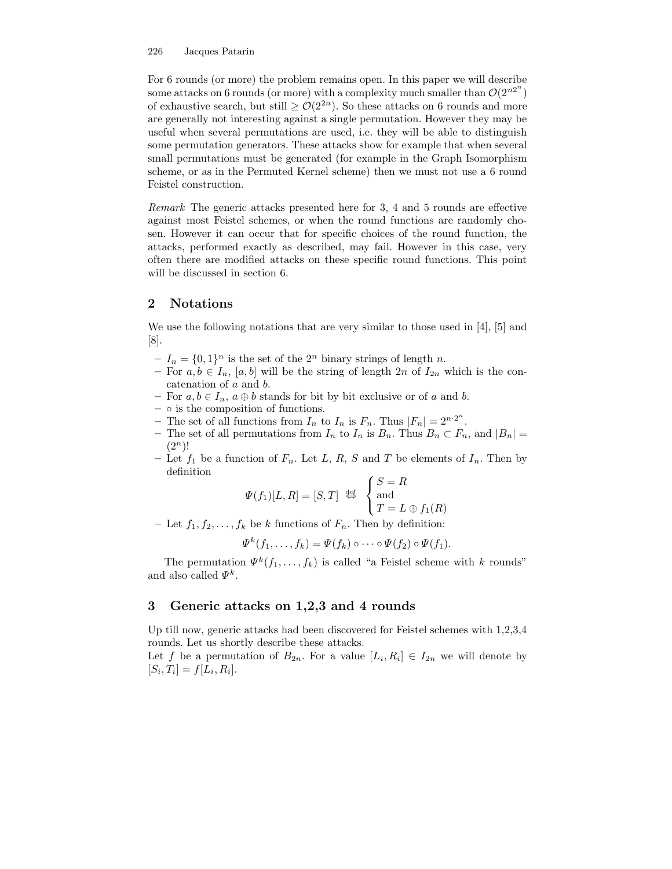#### 226 Jacques Patarin

For 6 rounds (or more) the problem remains open. In this paper we will describe some attacks on 6 rounds (or more) with a complexity much smaller than  $\mathcal{O}(2^{n^2})$ of exhaustive search, but still  $\geq \mathcal{O}(2^{2n})$ . So these attacks on 6 rounds and more are generally not interesting against a single permutation. However they may be useful when several permutations are used, i.e. they will be able to distinguish some permutation generators. These attacks show for example that when several small permutations must be generated (for example in the Graph Isomorphism scheme, or as in the Permuted Kernel scheme) then we must not use a 6 round Feistel construction.

Remark The generic attacks presented here for 3, 4 and 5 rounds are effective against most Feistel schemes, or when the round functions are randomly chosen. However it can occur that for specific choices of the round function, the attacks, performed exactly as described, may fail. However in this case, very often there are modified attacks on these specific round functions. This point will be discussed in section 6.

# 2 Notations

We use the following notations that are very similar to those used in [4], [5] and  $|8|$ .

- $-I_n = \{0,1\}^n$  is the set of the  $2^n$  binary strings of length n.
- For  $a, b \in I_n$ ,  $[a, b]$  will be the string of length  $2n$  of  $I_{2n}$  which is the concatenation of a and b.
- For  $a, b \in I_n$ ,  $a \oplus b$  stands for bit by bit exclusive or of a and b.
- $\circ$  is the composition of functions.
- The set of all functions from  $I_n$  to  $I_n$  is  $F_n$ . Thus  $|F_n| = 2^{n \cdot 2^n}$ .
- The set of all permutations from  $I_n$  to  $I_n$  is  $B_n$ . Thus  $B_n \subset F_n$ , and  $|B_n|$  =  $(2^n)!$
- Let  $f_1$  be a function of  $F_n$ . Let L, R, S and T be elements of  $I_n$ . Then by definition

$$
\Psi(f_1)[L,R] = [S,T] \stackrel{\text{def}}{\Leftrightarrow} \begin{cases} S = R \\ \text{and} \\ T = L \oplus f_1(R) \end{cases}
$$

– Let  $f_1, f_2, \ldots, f_k$  be k functions of  $F_n$ . Then by definition:

$$
\Psi^k(f_1,\ldots,f_k)=\Psi(f_k)\circ\cdots\circ\Psi(f_2)\circ\Psi(f_1).
$$

The permutation  $\Psi^k(f_1,\ldots,f_k)$  is called "a Feistel scheme with k rounds" and also called  $\Psi^k$ .

# 3 Generic attacks on 1,2,3 and 4 rounds

Up till now, generic attacks had been discovered for Feistel schemes with 1,2,3,4 rounds. Let us shortly describe these attacks.

Let f be a permutation of  $B_{2n}$ . For a value  $[L_i, R_i] \in I_{2n}$  we will denote by  $[S_i, T_i] = f[L_i, R_i].$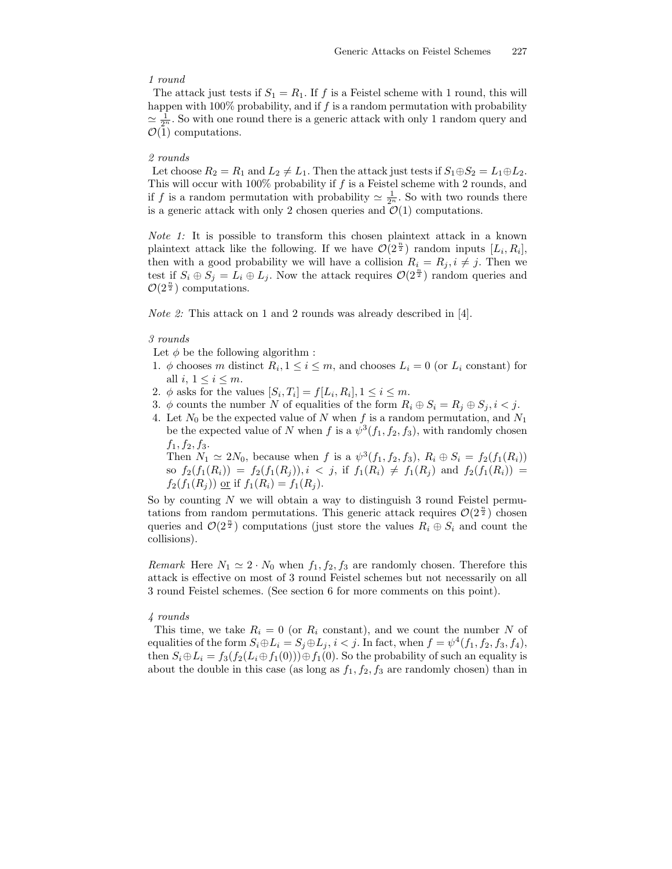#### 1 round

The attack just tests if  $S_1 = R_1$ . If f is a Feistel scheme with 1 round, this will happen with 100% probability, and if f is a random permutation with probability  $\simeq \frac{1}{2^n}$ . So with one round there is a generic attack with only 1 random query and  $\mathcal{O}(1)$  computations.

#### 2 rounds

Let choose  $R_2 = R_1$  and  $L_2 \neq L_1$ . Then the attack just tests if  $S_1 \oplus S_2 = L_1 \oplus L_2$ . This will occur with 100% probability if f is a Feistel scheme with 2 rounds, and if f is a random permutation with probability  $\simeq \frac{1}{2^n}$ . So with two rounds there is a generic attack with only 2 chosen queries and  $\mathcal{O}(1)$  computations.

Note 1: It is possible to transform this chosen plaintext attack in a known plaintext attack like the following. If we have  $\mathcal{O}(2^{\frac{n}{2}})$  random inputs  $[L_i, R_i]$ , then with a good probability we will have a collision  $R_i = R_j, i \neq j$ . Then we test if  $S_i \oplus S_j = L_i \oplus L_j$ . Now the attack requires  $\mathcal{O}(2^{\frac{n}{2}})$  random queries and  $\mathcal{O}(2^{\frac{n}{2}})$  computations.

Note 2: This attack on 1 and 2 rounds was already described in [4].

### 3 rounds

Let  $\phi$  be the following algorithm :

- 1.  $\phi$  chooses m distinct  $R_i, 1 \leq i \leq m$ , and chooses  $L_i = 0$  (or  $L_i$  constant) for all i,  $1 \leq i \leq m$ .
- 2.  $\phi$  asks for the values  $[S_i, T_i] = f[L_i, R_i], 1 \leq i \leq m$ .
- 3.  $\phi$  counts the number N of equalities of the form  $R_i \oplus S_i = R_j \oplus S_j, i < j$ .
- 4. Let  $N_0$  be the expected value of N when f is a random permutation, and  $N_1$ be the expected value of N when f is a  $\psi^3(f_1, f_2, f_3)$ , with randomly chosen  $f_1, f_2, f_3.$

Then  $N_1 \simeq 2N_0$ , because when f is a  $\psi^3(f_1, f_2, f_3)$ ,  $R_i \oplus S_i = f_2(f_1(R_i))$ so  $f_2(f_1(R_i)) = f_2(f_1(R_j))$ ,  $i < j$ , if  $f_1(R_i) \neq f_1(R_j)$  and  $f_2(f_1(R_i)) =$  $f_2(f_1(R_i))$  or if  $f_1(R_i) = f_1(R_i)$ .

So by counting  $N$  we will obtain a way to distinguish 3 round Feistel permutations from random permutations. This generic attack requires  $\mathcal{O}(2^{\frac{n}{2}})$  chosen queries and  $\mathcal{O}(2^{\frac{n}{2}})$  computations (just store the values  $R_i \oplus S_i$  and count the collisions).

*Remark* Here  $N_1 \simeq 2 \cdot N_0$  when  $f_1, f_2, f_3$  are randomly chosen. Therefore this attack is effective on most of 3 round Feistel schemes but not necessarily on all 3 round Feistel schemes. (See section 6 for more comments on this point).

## 4 rounds

This time, we take  $R_i = 0$  (or  $R_i$  constant), and we count the number N of equalities of the form  $S_i \oplus L_i = S_j \oplus L_j$ ,  $i < j$ . In fact, when  $f = \psi^4(f_1, f_2, f_3, f_4)$ , then  $S_i \oplus L_i = f_3(f_2(L_i \oplus f_1(0))) \oplus f_1(0)$ . So the probability of such an equality is about the double in this case (as long as  $f_1, f_2, f_3$  are randomly chosen) than in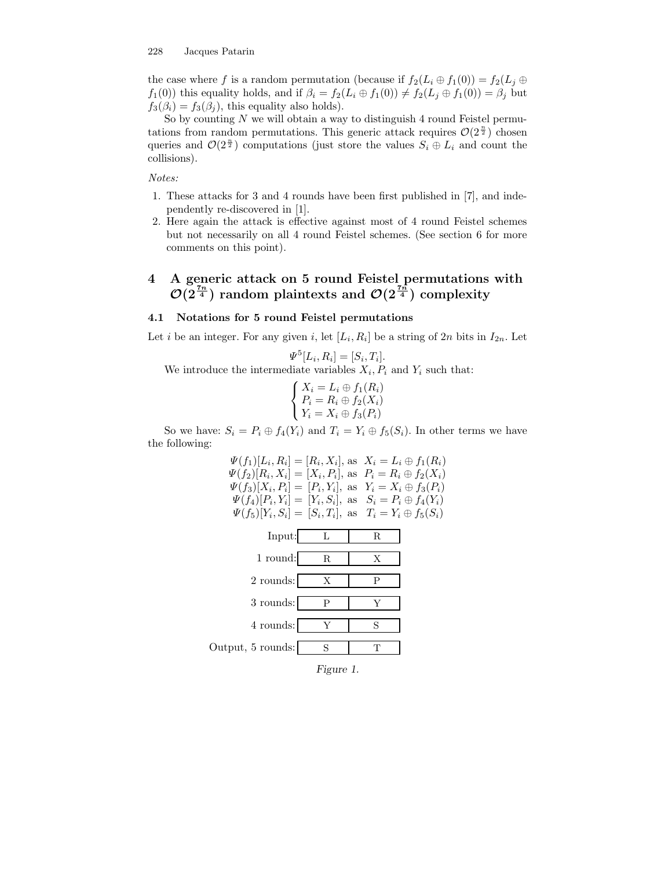the case where f is a random permutation (because if  $f_2(L_i \oplus f_1(0)) = f_2(L_i \oplus f_2(0))$  $f_1(0)$ ) this equality holds, and if  $\beta_i = f_2(L_i \oplus f_1(0)) \neq f_2(L_j \oplus f_1(0)) = \beta_j$  but  $f_3(\beta_i) = f_3(\beta_i)$ , this equality also holds).

So by counting  $N$  we will obtain a way to distinguish 4 round Feistel permutations from random permutations. This generic attack requires  $\mathcal{O}(2^{\frac{n}{2}})$  chosen queries and  $\mathcal{O}(2^{\frac{n}{2}})$  computations (just store the values  $S_i \oplus L_i$  and count the collisions).

Notes:

- 1. These attacks for 3 and 4 rounds have been first published in [7], and independently re-discovered in [1].
- 2. Here again the attack is effective against most of 4 round Feistel schemes but not necessarily on all 4 round Feistel schemes. (See section 6 for more comments on this point).

# 4 A generic attack on 5 round Feistel permutations with  $\mathcal{O}(2^{\frac{7n}{4}})$  random plaintexts and  $\mathcal{O}(2^{\frac{7n}{4}})$  complexity

## 4.1 Notations for 5 round Feistel permutations

Let *i* be an integer. For any given *i*, let  $[L_i, R_i]$  be a string of 2*n* bits in  $I_{2n}$ . Let

$$
\Psi^5[L_i, R_i] = [S_i, T_i].
$$

We introduce the intermediate variables  $X_i, P_i$  and  $Y_i$  such that:

$$
\begin{cases} X_i = L_i \oplus f_1(R_i) \\ P_i = R_i \oplus f_2(X_i) \\ Y_i = X_i \oplus f_3(P_i) \end{cases}
$$

So we have:  $S_i = P_i \oplus f_4(Y_i)$  and  $T_i = Y_i \oplus f_5(S_i)$ . In other terms we have the following:



Figure 1.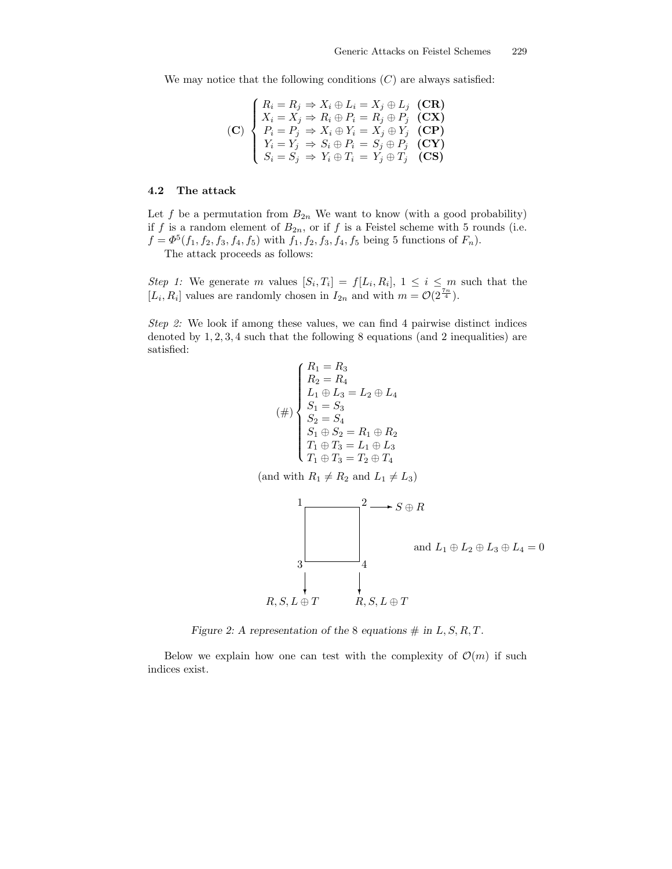We may notice that the following conditions  $(C)$  are always satisfied:

$$
\textbf{(C)}\n\begin{cases}\nR_i = R_j \Rightarrow X_i \oplus L_i = X_j \oplus L_j \quad \textbf{(CR)} \\
X_i = X_j \Rightarrow R_i \oplus P_i = R_j \oplus P_j \quad \textbf{(CX)} \\
P_i = P_j \Rightarrow X_i \oplus Y_i = X_j \oplus Y_j \quad \textbf{(CP)} \\
Y_i = Y_j \Rightarrow S_i \oplus P_i = S_j \oplus P_j \quad \textbf{(CY)} \\
S_i = S_j \Rightarrow Y_i \oplus T_i = Y_j \oplus T_j \quad \textbf{(CS)}\n\end{cases}
$$

#### 4.2 The attack

Let f be a permutation from  $B_{2n}$  We want to know (with a good probability) if f is a random element of  $B_{2n}$ , or if f is a Feistel scheme with 5 rounds (i.e.  $f = \Phi^5(f_1, f_2, f_3, f_4, f_5)$  with  $f_1, f_2, f_3, f_4, f_5$  being 5 functions of  $F_n$ ).

The attack proceeds as follows:

Step 1: We generate m values  $[S_i, T_i] = f[L_i, R_i], 1 \leq i \leq m$  such that the  $[L_i, R_i]$  values are randomly chosen in  $I_{2n}$  and with  $m = \mathcal{O}(2^{\frac{7n}{4}})$ .

Step 2: We look if among these values, we can find 4 pairwise distinct indices denoted by 1, 2, 3, 4 such that the following 8 equations (and 2 inequalities) are satisfied:

$$
(\#)\begin{cases} R_1 = R_3 \\ R_2 = R_4 \\ L_1 \oplus L_3 = L_2 \oplus L_4 \\ S_1 = S_3 \\ S_2 = S_4 \\ S_1 \oplus S_2 = R_1 \oplus R_2 \\ T_1 \oplus T_3 = L_1 \oplus L_3 \\ T_1 \oplus T_3 = T_2 \oplus T_4 \end{cases}
$$

(and with  $R_1 \neq R_2$  and  $L_1 \neq L_3$ )



Figure 2: A representation of the 8 equations  $\#$  in  $L, S, R, T$ .

Below we explain how one can test with the complexity of  $\mathcal{O}(m)$  if such indices exist.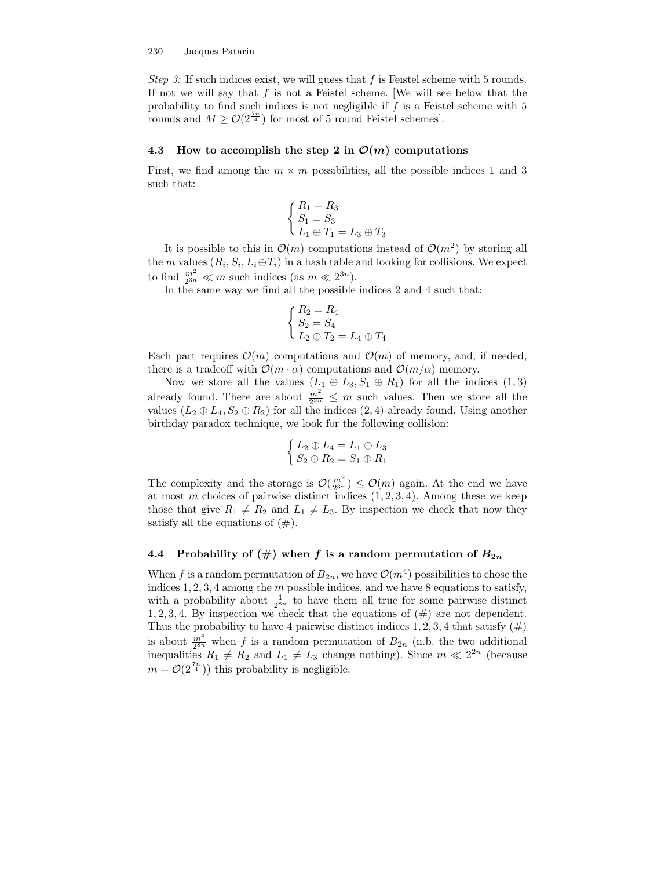Step 3: If such indices exist, we will guess that f is Feistel scheme with 5 rounds. If not we will say that  $f$  is not a Feistel scheme. We will see below that the probability to find such indices is not negligible if  $f$  is a Feistel scheme with  $5$ rounds and  $M \geq \mathcal{O}(2^{\frac{7n}{4}})$  for most of 5 round Feistel schemes.

#### 4.3 How to accomplish the step 2 in  $\mathcal{O}(m)$  computations

First, we find among the  $m \times m$  possibilities, all the possible indices 1 and 3 such that:

$$
\begin{cases}\nR_1 = R_3 \\
S_1 = S_3 \\
L_1 \oplus T_1 = L_3 \oplus T_3\n\end{cases}
$$

It is possible to this in  $\mathcal{O}(m)$  computations instead of  $\mathcal{O}(m^2)$  by storing all the *m* values  $(R_i, S_i, L_i \oplus T_i)$  in a hash table and looking for collisions. We expect to find  $\frac{m^2}{2^{3n}} \ll m$  such indices (as  $m \ll 2^{3n}$ ).

In the same way we find all the possible indices 2 and 4 such that:

$$
\begin{cases}\nR_2 = R_4 \\
S_2 = S_4 \\
L_2 \oplus T_2 = L_4 \oplus T_4\n\end{cases}
$$

Each part requires  $\mathcal{O}(m)$  computations and  $\mathcal{O}(m)$  of memory, and, if needed, there is a tradeoff with  $\mathcal{O}(m \cdot \alpha)$  computations and  $\mathcal{O}(m/\alpha)$  memory.

Now we store all the values  $(L_1 \oplus L_3, S_1 \oplus R_1)$  for all the indices  $(1, 3)$ already found. There are about  $\frac{m^2}{2^{3n}} \leq m$  such values. Then we store all the values  $(L_2 \oplus L_4, S_2 \oplus R_2)$  for all the indices  $(2, 4)$  already found. Using another birthday paradox technique, we look for the following collision:

$$
\begin{cases}\nL_2 \oplus L_4 = L_1 \oplus L_3 \\
S_2 \oplus R_2 = S_1 \oplus R_1\n\end{cases}
$$

The complexity and the storage is  $\mathcal{O}(\frac{m^2}{2^{3n}}) \leq \mathcal{O}(m)$  again. At the end we have at most m choices of pairwise distinct indices  $(1, 2, 3, 4)$ . Among these we keep those that give  $R_1 \neq R_2$  and  $L_1 \neq L_3$ . By inspection we check that now they satisfy all the equations of  $(\#)$ .

### 4.4 Probability of  $(\#)$  when f is a random permutation of  $B_{2n}$

When f is a random permutation of  $B_{2n}$ , we have  $\mathcal{O}(m^4)$  possibilities to chose the indices  $1, 2, 3, 4$  among the m possible indices, and we have 8 equations to satisfy, with a probability about  $\frac{1}{2^{8n}}$  to have them all true for some pairwise distinct 1, 2, 3, 4. By inspection we check that the equations of  $(\#)$  are not dependent. Thus the probability to have 4 pairwise distinct indices 1, 2, 3, 4 that satisfy  $(\#)$ is about  $\frac{m^4}{2^{8n}}$  when f is a random permutation of  $B_{2n}$  (n.b. the two additional inequalities  $R_1 \neq R_2$  and  $L_1 \neq L_3$  change nothing). Since  $m \ll 2^{2n}$  (because  $m = \mathcal{O}(2^{\frac{7n}{4}})$  this probability is negligible.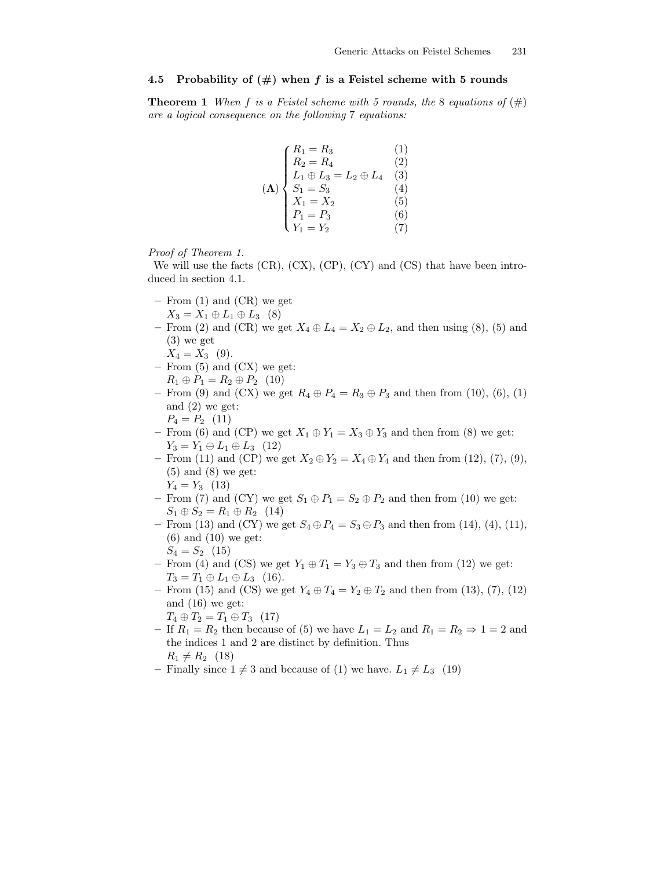## 4.5 Probability of  $(\#)$  when f is a Feistel scheme with 5 rounds

**Theorem 1** When f is a Feistel scheme with 5 rounds, the 8 equations of  $(\#)$ are a logical consequence on the following 7 equations:

$$
(\Lambda) \begin{cases} R_1 = R_3 & (1) \\ R_2 = R_4 & (2) \\ L_1 \oplus L_3 = L_2 \oplus L_4 & (3) \\ S_1 = S_3 & (4) \\ X_1 = X_2 & (5) \\ P_1 = P_3 & (6) \\ Y_1 = Y_2 & (7) \end{cases}
$$

Proof of Theorem 1.

We will use the facts  $(CR)$ ,  $(CX)$ ,  $(CP)$ ,  $(CY)$  and  $(CS)$  that have been introduced in section 4.1.

- From (1) and (CR) we get  $X_3 = X_1 \oplus L_1 \oplus L_3$  (8)
- From (2) and (CR) we get  $X_4 \oplus L_4 = X_2 \oplus L_2$ , and then using (8), (5) and (3) we get
	- $X_4 = X_3$  (9).
- From (5) and (CX) we get:  $R_1 \oplus P_1 = R_2 \oplus P_2$  (10)
- From (9) and (CX) we get  $R_4 \oplus P_4 = R_3 \oplus P_3$  and then from (10), (6), (1) and (2) we get:

$$
P_4 = P_2 \quad (11)
$$

- From (6) and (CP) we get  $X_1 \oplus Y_1 = X_3 \oplus Y_3$  and then from (8) we get:  $Y_3 = Y_1 \oplus L_1 \oplus L_3$  (12)
- From (11) and (CP) we get  $X_2 \oplus Y_2 = X_4 \oplus Y_4$  and then from (12), (7), (9), (5) and (8) we get:

 $Y_4 = Y_3 \ (13)$ 

- From (7) and (CY) we get  $S_1 \oplus P_1 = S_2 \oplus P_2$  and then from (10) we get:  $S_1 \oplus S_2 = R_1 \oplus R_2$  (14)
- From (13) and (CY) we get  $S_4 \oplus P_4 = S_3 \oplus P_3$  and then from (14), (4), (11),  $(6)$  and  $(10)$  we get:

$$
S_4 = S_2 \quad (15)
$$

- From (4) and (CS) we get  $Y_1 \oplus T_1 = Y_3 \oplus T_3$  and then from (12) we get:  $T_3 = T_1 \oplus L_1 \oplus L_3$  (16).
- From (15) and (CS) we get  $Y_4 \oplus T_4 = Y_2 \oplus T_2$  and then from (13), (7), (12) and (16) we get:
- $T_4 \oplus T_2 = T_1 \oplus T_3$  (17)
- If  $R_1 = R_2$  then because of (5) we have  $L_1 = L_2$  and  $R_1 = R_2 \Rightarrow 1 = 2$  and the indices 1 and 2 are distinct by definition. Thus  $R_1 \neq R_2$  (18)
- Finally since  $1 \neq 3$  and because of (1) we have.  $L_1 \neq L_3$  (19)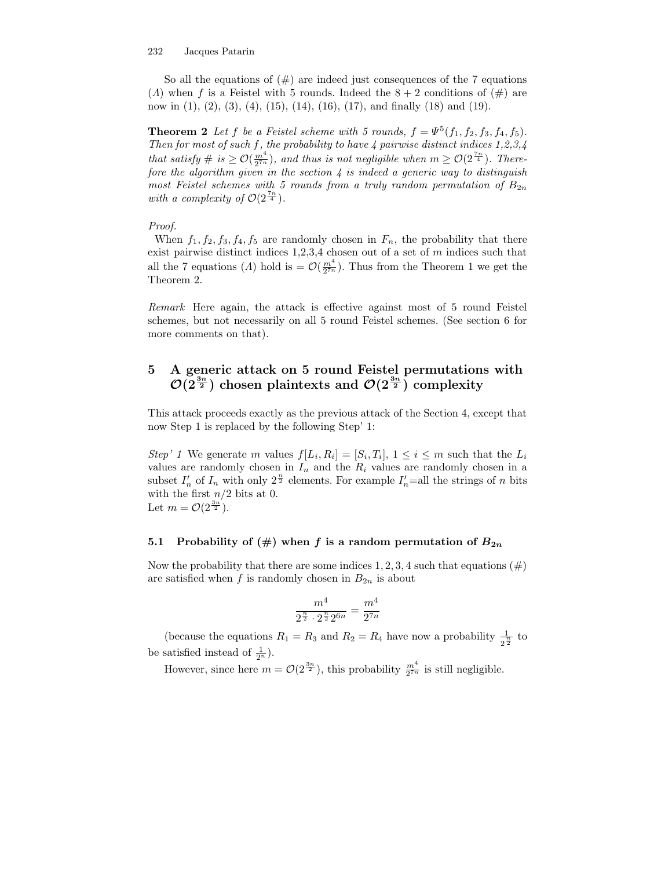#### 232 Jacques Patarin

So all the equations of  $(\#)$  are indeed just consequences of the 7 equations (*A*) when f is a Feistel with 5 rounds. Indeed the  $8 + 2$  conditions of (#) are now in  $(1)$ ,  $(2)$ ,  $(3)$ ,  $(4)$ ,  $(15)$ ,  $(14)$ ,  $(16)$ ,  $(17)$ , and finally  $(18)$  and  $(19)$ .

**Theorem 2** Let f be a Feistel scheme with 5 rounds,  $f = \Psi^5(f_1, f_2, f_3, f_4, f_5)$ . Then for most of such f, the probability to have 4 pairwise distinct indices  $1,2,3,4$ that satisfy  $\# \text{ is } \geq \mathcal{O}(\frac{m^4}{2^{7n}})$ , and thus is not negligible when  $m \geq \mathcal{O}(2^{\frac{7n}{4}})$ . Therefore the algorithm given in the section  $\lambda$  is indeed a generic way to distinguish most Feistel schemes with 5 rounds from a truly random permutation of  $B_{2n}$ with a complexity of  $\mathcal{O}(2^{\frac{7n}{4}})$ .

### Proof.

When  $f_1, f_2, f_3, f_4, f_5$  are randomly chosen in  $F_n$ , the probability that there exist pairwise distinct indices  $1,2,3,4$  chosen out of a set of  $m$  indices such that all the 7 equations (A) hold is  $=\mathcal{O}\left(\frac{m^4}{2^{7n}}\right)$ . Thus from the Theorem 1 we get the Theorem 2.

Remark Here again, the attack is effective against most of 5 round Feistel schemes, but not necessarily on all 5 round Feistel schemes. (See section 6 for more comments on that).

# 5 A generic attack on 5 round Feistel permutations with  $\mathcal{O}(2^{\frac{3n}{2}})$  chosen plaintexts and  $\mathcal{O}(2^{\frac{3n}{2}})$  complexity

This attack proceeds exactly as the previous attack of the Section 4, except that now Step 1 is replaced by the following Step' 1:

Step' 1 We generate m values  $f[L_i, R_i] = [S_i, T_i], 1 \leq i \leq m$  such that the  $L_i$ values are randomly chosen in  $I_n$  and the  $R_i$  values are randomly chosen in a subset  $I'_n$  of  $I_n$  with only  $2^{\frac{n}{2}}$  elements. For example  $I'_n$ =all the strings of n bits with the first  $n/2$  bits at 0. Let  $m = \mathcal{O}(2^{\frac{3n}{2}})$ .

## 5.1 Probability of  $(\#)$  when f is a random permutation of  $B_{2n}$

Now the probability that there are some indices  $1, 2, 3, 4$  such that equations  $(\#)$ are satisfied when f is randomly chosen in  $B_{2n}$  is about

$$
\frac{m^4}{2^{\frac{n}{2}} \cdot 2^{\frac{n}{2}} 2^{6n}} = \frac{m^4}{2^{7n}}
$$

(because the equations  $R_1 = R_3$  and  $R_2 = R_4$  have now a probability  $\frac{1}{2}$  $\frac{1}{2^{\frac{n}{2}}}$  to be satisfied instead of  $\frac{1}{2^n}$ ).

However, since here  $m = \mathcal{O}(2^{\frac{3n}{2}})$ , this probability  $\frac{m^4}{2^{7n}}$  is still negligible.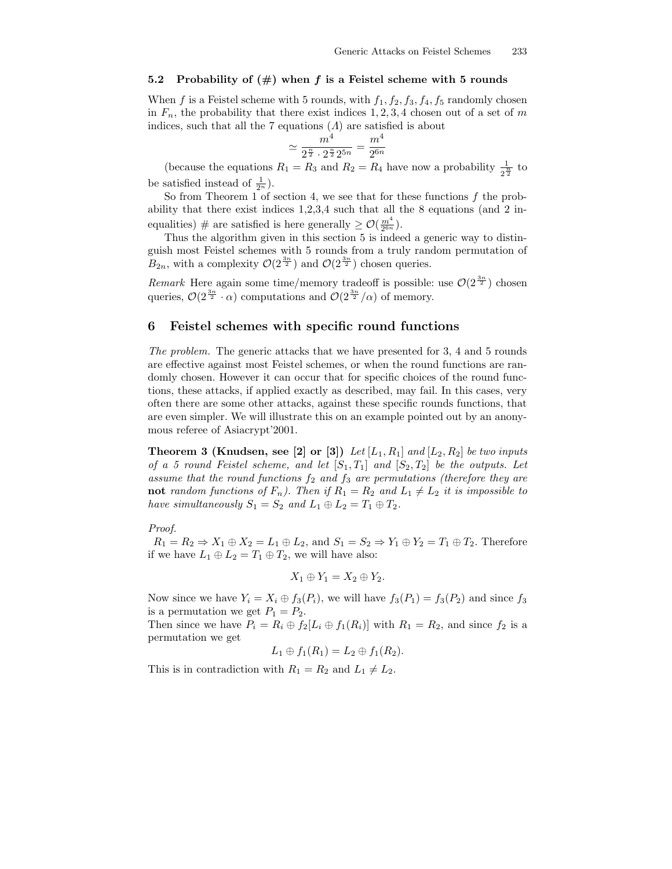## 5.2 Probability of  $(\#)$  when f is a Feistel scheme with 5 rounds

When f is a Feistel scheme with 5 rounds, with  $f_1, f_2, f_3, f_4, f_5$  randomly chosen in  $F_n$ , the probability that there exist indices 1, 2, 3, 4 chosen out of a set of m indices, such that all the 7 equations  $(A)$  are satisfied is about

$$
\simeq \frac{m^4}{2^{\frac{n}{2}} \cdot 2^{\frac{n}{2}} 2^{5n}} = \frac{m^4}{2^{6n}}
$$

(because the equations  $R_1 = R_3$  and  $R_2 = R_4$  have now a probability  $\frac{1}{2}$  $\frac{1}{2^{\frac{n}{2}}}$  to be satisfied instead of  $\frac{1}{2^n}$ ).

So from Theorem 1 of section 4, we see that for these functions  $f$  the probability that there exist indices 1,2,3,4 such that all the 8 equations (and 2 inequalities) # are satisfied is here generally  $\geq \mathcal{O}(\frac{m^4}{2^{6n}})$ .

Thus the algorithm given in this section 5 is indeed a generic way to distinguish most Feistel schemes with 5 rounds from a truly random permutation of  $B_{2n}$ , with a complexity  $\mathcal{O}(2^{\frac{3n}{2}})$  and  $\mathcal{O}(2^{\frac{3n}{2}})$  chosen queries.

Remark Here again some time/memory tradeoff is possible: use  $\mathcal{O}(2^{\frac{3n}{2}})$  chosen queries,  $\mathcal{O}(2^{\frac{3n}{2}} \cdot \alpha)$  computations and  $\mathcal{O}(2^{\frac{3n}{2}}/\alpha)$  of memory.

## 6 Feistel schemes with specific round functions

The problem. The generic attacks that we have presented for 3, 4 and 5 rounds are effective against most Feistel schemes, or when the round functions are randomly chosen. However it can occur that for specific choices of the round functions, these attacks, if applied exactly as described, may fail. In this cases, very often there are some other attacks, against these specific rounds functions, that are even simpler. We will illustrate this on an example pointed out by an anonymous referee of Asiacrypt'2001.

**Theorem 3 (Knudsen, see [2] or [3])** Let  $[L_1, R_1]$  and  $[L_2, R_2]$  be two inputs of a 5 round Feistel scheme, and let  $[S_1, T_1]$  and  $[S_2, T_2]$  be the outputs. Let assume that the round functions  $f_2$  and  $f_3$  are permutations (therefore they are not random functions of  $F_n$ ). Then if  $R_1 = R_2$  and  $L_1 \neq L_2$  it is impossible to have simultaneously  $S_1 = S_2$  and  $L_1 \oplus L_2 = T_1 \oplus T_2$ .

#### Proof.

 $R_1 = R_2 \Rightarrow X_1 \oplus X_2 = L_1 \oplus L_2$ , and  $S_1 = S_2 \Rightarrow Y_1 \oplus Y_2 = T_1 \oplus T_2$ . Therefore if we have  $L_1 \oplus L_2 = T_1 \oplus T_2$ , we will have also:

$$
X_1 \oplus Y_1 = X_2 \oplus Y_2.
$$

Now since we have  $Y_i = X_i \oplus f_3(P_i)$ , we will have  $f_3(P_1) = f_3(P_2)$  and since  $f_3$ is a permutation we get  $P_1 = P_2$ .

Then since we have  $P_i = R_i \oplus f_2[L_i \oplus f_1(R_i)]$  with  $R_1 = R_2$ , and since  $f_2$  is a permutation we get

$$
L_1\oplus f_1(R_1)=L_2\oplus f_1(R_2).
$$

This is in contradiction with  $R_1 = R_2$  and  $L_1 \neq L_2$ .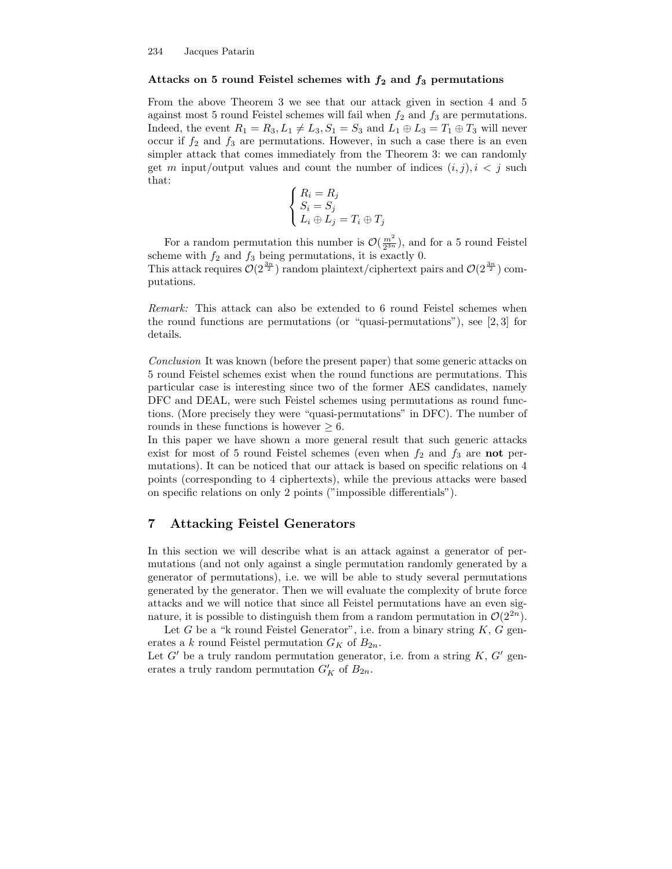#### Attacks on 5 round Feistel schemes with  $f_2$  and  $f_3$  permutations

From the above Theorem 3 we see that our attack given in section 4 and 5 against most 5 round Feistel schemes will fail when  $f_2$  and  $f_3$  are permutations. Indeed, the event  $R_1 = R_3, L_1 \neq L_3, S_1 = S_3$  and  $L_1 \oplus L_3 = T_1 \oplus T_3$  will never occur if  $f_2$  and  $f_3$  are permutations. However, in such a case there is an even simpler attack that comes immediately from the Theorem 3: we can randomly get m input/output values and count the number of indices  $(i, j)$ ,  $i < j$  such that:

$$
\begin{cases}\nR_i = R_j \\
S_i = S_j \\
L_i \oplus L_j = T_i \oplus T_j\n\end{cases}
$$

For a random permutation this number is  $\mathcal{O}\left(\frac{m^2}{2^{3n}}\right)$ , and for a 5 round Feistel scheme with  $f_2$  and  $f_3$  being permutations, it is exactly 0. This attack requires  $\mathcal{O}(2^{\frac{3n}{2}})$  random plaintext/ciphertext pairs and  $\mathcal{O}(2^{\frac{3n}{2}})$  computations.

Remark: This attack can also be extended to 6 round Feistel schemes when the round functions are permutations (or "quasi-permutations"), see [2, 3] for details.

Conclusion It was known (before the present paper) that some generic attacks on 5 round Feistel schemes exist when the round functions are permutations. This particular case is interesting since two of the former AES candidates, namely DFC and DEAL, were such Feistel schemes using permutations as round functions. (More precisely they were "quasi-permutations" in DFC). The number of rounds in these functions is however  $\geq 6$ .

In this paper we have shown a more general result that such generic attacks exist for most of 5 round Feistel schemes (even when  $f_2$  and  $f_3$  are not permutations). It can be noticed that our attack is based on specific relations on 4 points (corresponding to 4 ciphertexts), while the previous attacks were based on specific relations on only 2 points ("impossible differentials").

# 7 Attacking Feistel Generators

In this section we will describe what is an attack against a generator of permutations (and not only against a single permutation randomly generated by a generator of permutations), i.e. we will be able to study several permutations generated by the generator. Then we will evaluate the complexity of brute force attacks and we will notice that since all Feistel permutations have an even signature, it is possible to distinguish them from a random permutation in  $\mathcal{O}(2^{2n})$ .

Let G be a "k round Feistel Generator", i.e. from a binary string  $K, G$  generates a k round Feistel permutation  $G_K$  of  $B_{2n}$ .

Let  $G'$  be a truly random permutation generator, i.e. from a string  $K$ ,  $G'$  generates a truly random permutation  $G'_{K}$  of  $B_{2n}$ .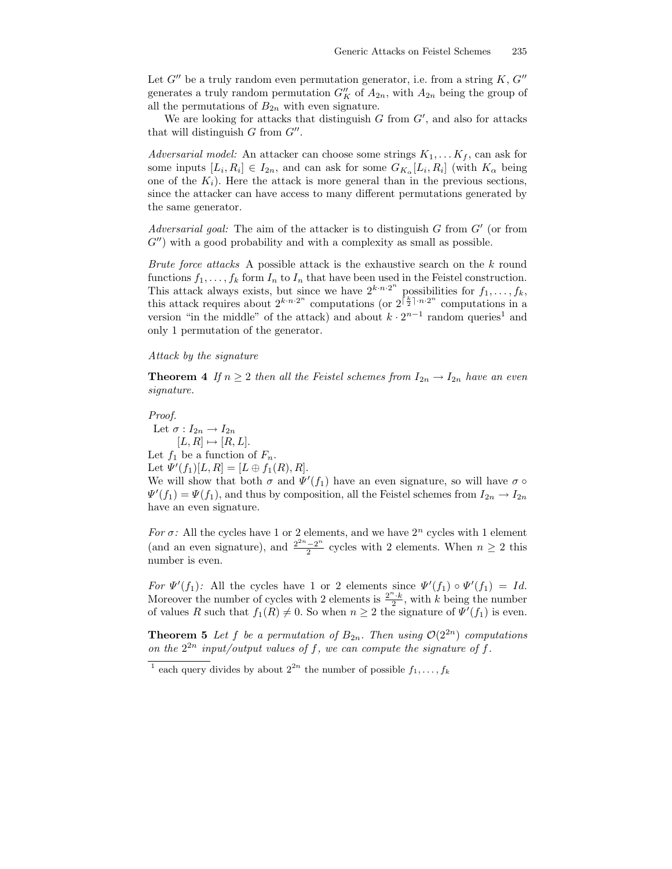Let  $G''$  be a truly random even permutation generator, i.e. from a string  $K, G''$ generates a truly random permutation  $G''_K$  of  $A_{2n}$ , with  $A_{2n}$  being the group of all the permutations of  $B_{2n}$  with even signature.

We are looking for attacks that distinguish  $G$  from  $G'$ , and also for attacks that will distinguish  $G$  from  $G''$ .

Adversarial model: An attacker can choose some strings  $K_1, \ldots K_f$ , can ask for some inputs  $[L_i, R_i] \in I_{2n}$ , and can ask for some  $G_{K_\alpha}[L_i, R_i]$  (with  $K_\alpha$  being one of the  $K_i$ ). Here the attack is more general than in the previous sections, since the attacker can have access to many different permutations generated by the same generator.

Adversarial goal: The aim of the attacker is to distinguish  $G$  from  $G'$  (or from  $G''$ ) with a good probability and with a complexity as small as possible.

Brute force attacks A possible attack is the exhaustive search on the k round functions  $f_1, \ldots, f_k$  form  $I_n$  to  $I_n$  that have been used in the Feistel construction. This attack always exists, but since we have  $2^{k \cdot n \cdot 2^n}$  possibilities for  $f_1, \ldots, f_k$ , this attack requires about  $2^{k n \cdot 2^n}$  computations (or  $2^{\lceil \frac{k}{2} \rceil \cdot n \cdot 2^n}$  computations in a version "in the middle" of the attack) and about  $k \cdot 2^{n-1}$  random queries<sup>1</sup> and only 1 permutation of the generator.

## Attack by the signature

**Theorem 4** If  $n \geq 2$  then all the Feistel schemes from  $I_{2n} \to I_{2n}$  have an even signature.

#### Proof.

Let  $\sigma: I_{2n} \to I_{2n}$  $[L, R] \mapsto [R, L].$ Let  $f_1$  be a function of  $F_n$ . Let  $\Psi'(f_1)[L, R] = [L \oplus f_1(R), R].$ We will show that both  $\sigma$  and  $\Psi'(f_1)$  have an even signature, so will have  $\sigma \circ$  $\Psi'(f_1) = \Psi(f_1)$ , and thus by composition, all the Feistel schemes from  $I_{2n} \to I_{2n}$ have an even signature.

For  $\sigma$ : All the cycles have 1 or 2 elements, and we have  $2^n$  cycles with 1 element (and an even signature), and  $\frac{2^{2n}-2^n}{2}$  $\frac{-2^{n}}{2}$  cycles with 2 elements. When  $n \geq 2$  this number is even.

For  $\Psi'(f_1)$ : All the cycles have 1 or 2 elements since  $\Psi'(f_1) \circ \Psi'(f_1) = Id$ . Moreover the number of cycles with 2 elements is  $\frac{2^n \cdot k}{2}$ , with k being the number of values R such that  $f_1(R) \neq 0$ . So when  $n \geq 2$  the signature of  $\Psi'(f_1)$  is even.

**Theorem 5** Let f be a permutation of  $B_{2n}$ . Then using  $\mathcal{O}(2^{2n})$  computations on the  $2^{2n}$  input/output values of f, we can compute the signature of f.

<sup>&</sup>lt;sup>1</sup> each query divides by about  $2^{2n}$  the number of possible  $f_1, \ldots, f_k$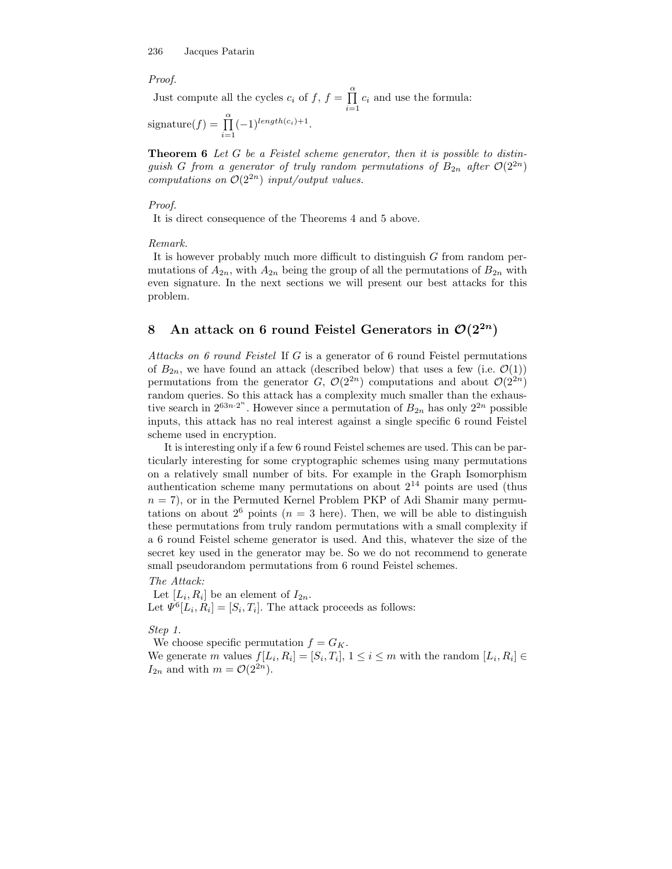#### Proof.

Just compute all the cycles  $c_i$  of  $f, f = \prod^{\alpha}$  $\prod_{i=1} c_i$  and use the formula:

signature $(f) = \prod^{\alpha}$  $i=1$  $(-1)^{length(c_i)+1}.$ 

Theorem 6 Let G be a Feistel scheme generator, then it is possible to distinguish G from a generator of truly random permutations of  $B_{2n}$  after  $\mathcal{O}(2^{2n})$ computations on  $\mathcal{O}(2^{2n})$  input/output values.

## Proof.

It is direct consequence of the Theorems 4 and 5 above.

Remark.

It is however probably much more difficult to distinguish G from random permutations of  $A_{2n}$ , with  $A_{2n}$  being the group of all the permutations of  $B_{2n}$  with even signature. In the next sections we will present our best attacks for this problem.

# 8 An attack on 6 round Feistel Generators in  $\mathcal{O}(2^{2n})$

Attacks on 6 round Feistel If G is a generator of 6 round Feistel permutations of  $B_{2n}$ , we have found an attack (described below) that uses a few (i.e.  $\mathcal{O}(1)$ ) permutations from the generator G,  $\mathcal{O}(2^{2n})$  computations and about  $\mathcal{O}(2^{2n})$ random queries. So this attack has a complexity much smaller than the exhaustive search in  $2^{63n \cdot 2^n}$ . However since a permutation of  $B_{2n}$  has only  $2^{2n}$  possible inputs, this attack has no real interest against a single specific 6 round Feistel scheme used in encryption.

It is interesting only if a few 6 round Feistel schemes are used. This can be particularly interesting for some cryptographic schemes using many permutations on a relatively small number of bits. For example in the Graph Isomorphism authentication scheme many permutations on about  $2^{14}$  points are used (thus  $n = 7$ , or in the Permuted Kernel Problem PKP of Adi Shamir many permutations on about  $2^6$  points  $(n = 3$  here). Then, we will be able to distinguish these permutations from truly random permutations with a small complexity if a 6 round Feistel scheme generator is used. And this, whatever the size of the secret key used in the generator may be. So we do not recommend to generate small pseudorandom permutations from 6 round Feistel schemes.

The Attack: Let  $[L_i, R_i]$  be an element of  $I_{2n}$ . Let  $\Psi^6[L_i, R_i] = [S_i, T_i]$ . The attack proceeds as follows:

Step 1.

We choose specific permutation  $f = G_K$ . We generate m values  $f[L_i, R_i] = [S_i, T_i], 1 \le i \le m$  with the random  $[L_i, R_i] \in$  $I_{2n}$  and with  $m = \mathcal{O}(2^{2n}).$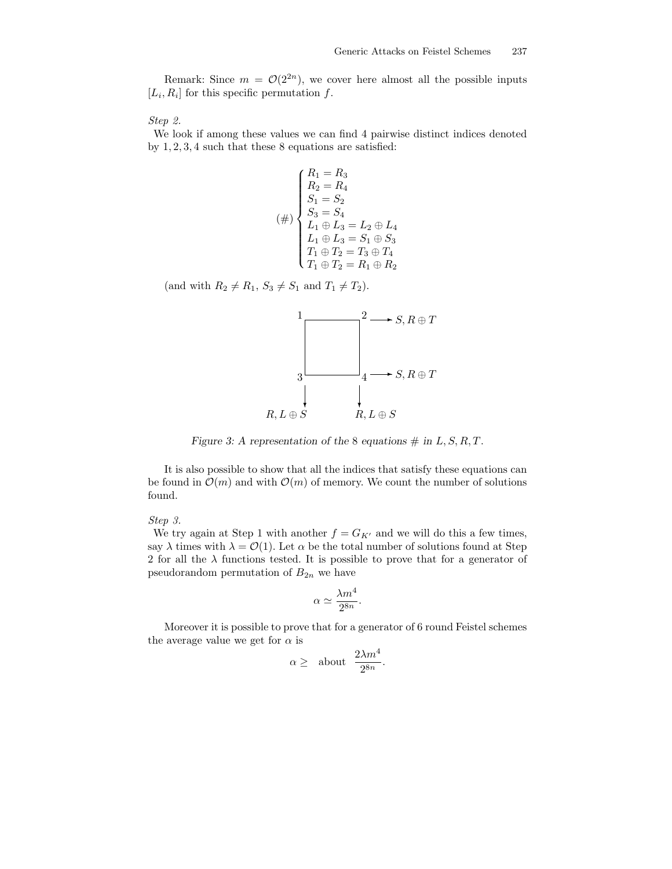Remark: Since  $m = \mathcal{O}(2^{2n})$ , we cover here almost all the possible inputs  $[L_i, R_i]$  for this specific permutation f.

Step 2.

We look if among these values we can find 4 pairwise distinct indices denoted by 1, 2, 3, 4 such that these 8 equations are satisfied:

$$
(\#)\begin{cases} R_1 = R_3\\ R_2 = R_4\\ S_1 = S_2\\ S_3 = S_4\\ L_1 \oplus L_3 = L_2 \oplus L_4\\ L_1 \oplus L_3 = S_1 \oplus S_3\\ T_1 \oplus T_2 = T_3 \oplus T_4\\ T_1 \oplus T_2 = R_1 \oplus R_2 \end{cases}
$$

(and with  $R_2 \neq R_1$ ,  $S_3 \neq S_1$  and  $T_1 \neq T_2$ ).



Figure 3: A representation of the 8 equations  $\#$  in  $L, S, R, T$ .

It is also possible to show that all the indices that satisfy these equations can be found in  $\mathcal{O}(m)$  and with  $\mathcal{O}(m)$  of memory. We count the number of solutions found.

#### Step 3.

We try again at Step 1 with another  $f = G_{K'}$  and we will do this a few times, say  $\lambda$  times with  $\lambda = \mathcal{O}(1)$ . Let  $\alpha$  be the total number of solutions found at Step 2 for all the  $\lambda$  functions tested. It is possible to prove that for a generator of pseudorandom permutation of  $B_{2n}$  we have

$$
\alpha \simeq \frac{\lambda m^4}{2^{8n}}.
$$

Moreover it is possible to prove that for a generator of 6 round Feistel schemes the average value we get for  $\alpha$  is

$$
\alpha \geq \quad \hbox{about} \quad \frac{2 \lambda m^4}{2^{8n}}.
$$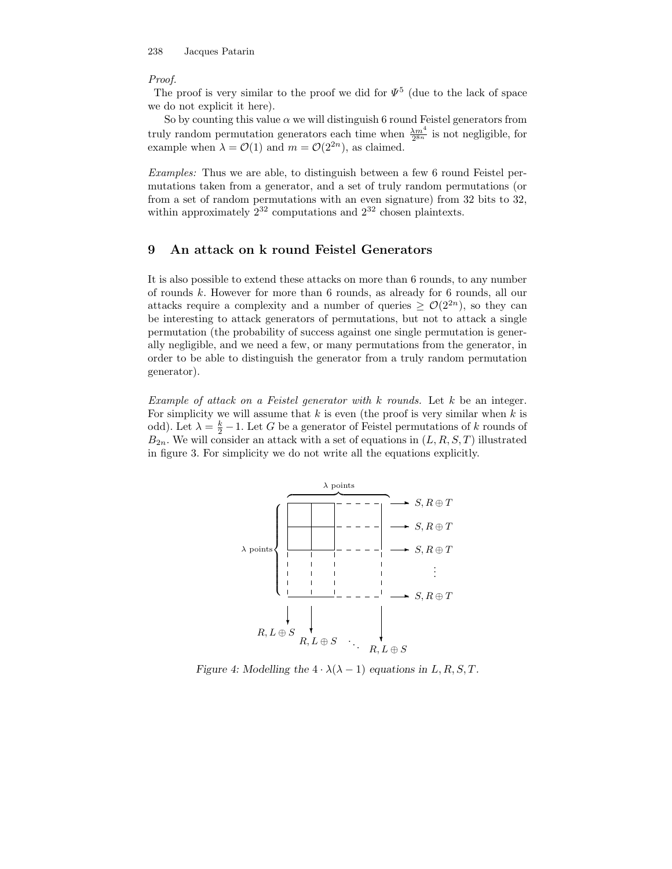#### Proof.

The proof is very similar to the proof we did for  $\Psi^5$  (due to the lack of space we do not explicit it here).

So by counting this value  $\alpha$  we will distinguish 6 round Feistel generators from truly random permutation generators each time when  $\frac{\lambda m^4}{2^{8n}}$  is not negligible, for example when  $\lambda = \mathcal{O}(1)$  and  $m = \mathcal{O}(2^{2n})$ , as claimed.

Examples: Thus we are able, to distinguish between a few 6 round Feistel permutations taken from a generator, and a set of truly random permutations (or from a set of random permutations with an even signature) from 32 bits to 32, within approximately  $2^{32}$  computations and  $2^{32}$  chosen plaintexts.

# 9 An attack on k round Feistel Generators

It is also possible to extend these attacks on more than 6 rounds, to any number of rounds k. However for more than 6 rounds, as already for 6 rounds, all our attacks require a complexity and a number of queries  $\geq \mathcal{O}(2^{2n})$ , so they can be interesting to attack generators of permutations, but not to attack a single permutation (the probability of success against one single permutation is generally negligible, and we need a few, or many permutations from the generator, in order to be able to distinguish the generator from a truly random permutation generator).

Example of attack on a Feistel generator with  $k$  rounds. Let  $k$  be an integer. For simplicity we will assume that  $k$  is even (the proof is very similar when  $k$  is odd). Let  $\lambda = \frac{k}{2} - 1$ . Let G be a generator of Feistel permutations of k rounds of  $B_{2n}$ . We will consider an attack with a set of equations in  $(L, R, S, T)$  illustrated in figure 3. For simplicity we do not write all the equations explicitly.



Figure 4: Modelling the  $4 \cdot \lambda(\lambda - 1)$  equations in L, R, S, T.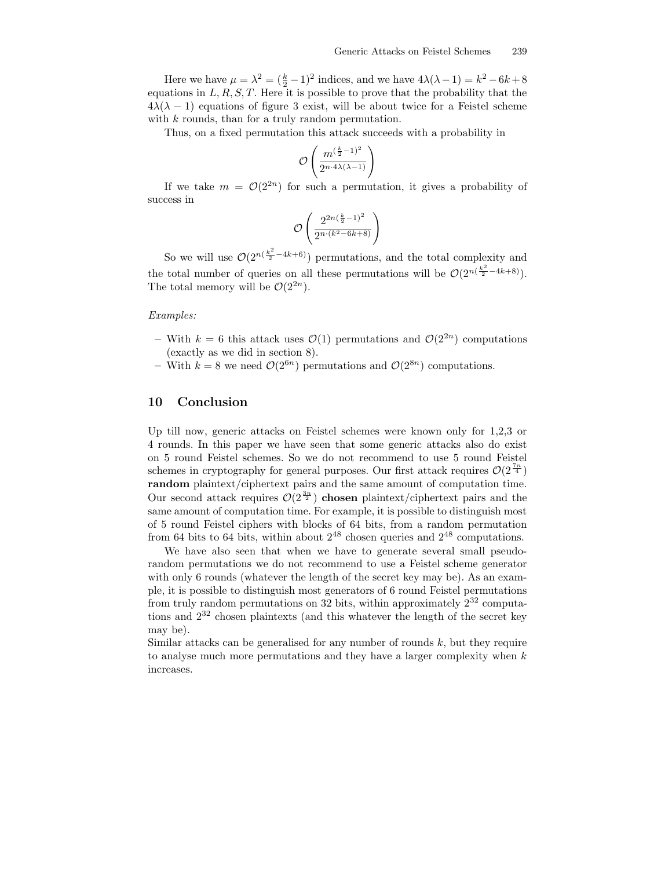Here we have  $\mu = \lambda^2 = (\frac{k}{2} - 1)^2$  indices, and we have  $4\lambda(\lambda - 1) = k^2 - 6k + 8$ equations in  $L, R, S, T$ . Here it is possible to prove that the probability that the  $4\lambda(\lambda - 1)$  equations of figure 3 exist, will be about twice for a Feistel scheme with k rounds, than for a truly random permutation.

Thus, on a fixed permutation this attack succeeds with a probability in

$$
\mathcal{O}\left(\frac{m^{(\frac{k}{2}-1)^2}}{2^{n\cdot 4\lambda(\lambda-1)}}\right)
$$

If we take  $m = \mathcal{O}(2^{2n})$  for such a permutation, it gives a probability of success in

$$
\mathcal{O}\left(\frac{2^{2n(\frac{k}{2}-1)^2}}{2^{n\cdot(k^2-6k+8)}}\right)
$$

So we will use  $\mathcal{O}(2^{n(\frac{k^2}{2}-4k+6)})$  permutations, and the total complexity and the total number of queries on all these permutations will be  $\mathcal{O}(2^{n(\frac{k^2}{2}-4k+8)})$ . The total memory will be  $\mathcal{O}(2^{2n})$ .

### Examples:

- With  $k = 6$  this attack uses  $\mathcal{O}(1)$  permutations and  $\mathcal{O}(2^{2n})$  computations (exactly as we did in section 8).
- With  $k = 8$  we need  $\mathcal{O}(2^{6n})$  permutations and  $\mathcal{O}(2^{8n})$  computations.

## 10 Conclusion

Up till now, generic attacks on Feistel schemes were known only for 1,2,3 or 4 rounds. In this paper we have seen that some generic attacks also do exist on 5 round Feistel schemes. So we do not recommend to use 5 round Feistel schemes in cryptography for general purposes. Our first attack requires  $\mathcal{O}(2^{\frac{7n}{4}})$ random plaintext/ciphertext pairs and the same amount of computation time. Our second attack requires  $\mathcal{O}(2^{\frac{3n}{2}})$  chosen plaintext/ciphertext pairs and the same amount of computation time. For example, it is possible to distinguish most of 5 round Feistel ciphers with blocks of 64 bits, from a random permutation from 64 bits to 64 bits, within about  $2^{48}$  chosen queries and  $2^{48}$  computations.

We have also seen that when we have to generate several small pseudorandom permutations we do not recommend to use a Feistel scheme generator with only 6 rounds (whatever the length of the secret key may be). As an example, it is possible to distinguish most generators of 6 round Feistel permutations from truly random permutations on 32 bits, within approximately  $2^{32}$  computations and 2 <sup>32</sup> chosen plaintexts (and this whatever the length of the secret key may be).

Similar attacks can be generalised for any number of rounds  $k$ , but they require to analyse much more permutations and they have a larger complexity when  $k$ increases.